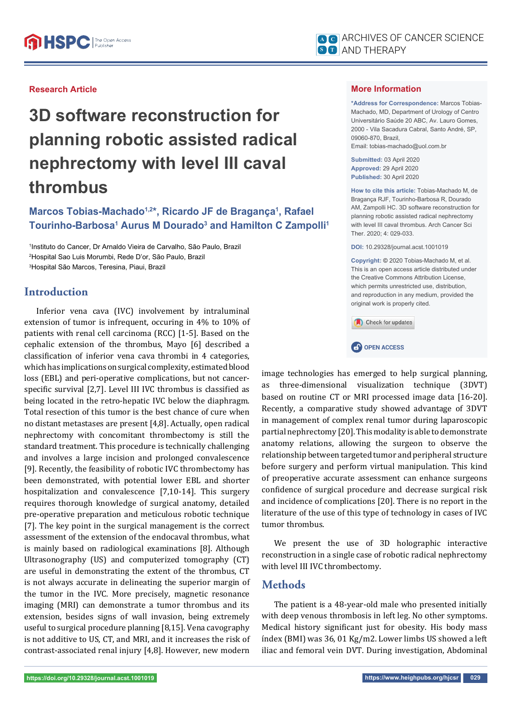## **Research Article**

# **3D software reconstruction for planning robotic assisted radical nephrectomy with level III caval thrombus**

# Marcos Tobias-Machado<sup>1,2\*</sup>, Ricardo JF de Bragança<sup>1</sup>, Rafael **Tourinho-Barbosa<sup>1</sup> Aurus M Dourado<sup>3</sup> and Hamilton C Zampolli<sup>1</sup>**

1 Instituto do Cancer, Dr Arnaldo Vieira de Carvalho, São Paulo, Brazil 2 Hospital Sao Luis Morumbi, Rede D'or, São Paulo, Brazil 3 Hospital São Marcos, Teresina, Piaui, Brazil

# **Introduction**

Inferior vena cava (IVC) involvement by intraluminal extension of tumor is infrequent, occuring in 4% to 10% of patients with renal cell carcinoma (RCC) [1-5]. Based on the cephalic extension of the thrombus, Mayo [6] described a classification of inferior vena cava thrombi in 4 categories, which has implications on surgical complexity, estimated blood loss (EBL) and peri-operative complications, but not cancerspecific survival [2,7]. Level III IVC thrombus is classified as being located in the retro-hepatic IVC below the diaphragm. Total resection of this tumor is the best chance of cure when no distant metastases are present [4,8]. Actually, open radical nephrectomy with concomitant thrombectomy is still the standard treatment. This procedure is technically challenging and involves a large incision and prolonged convalescence [9]. Recently, the feasibility of robotic IVC thrombectomy has been demonstrated, with potential lower EBL and shorter hospitalization and convalescence [7,10-14]. This surgery requires thorough knowledge of surgical anatomy, detailed pre-operative preparation and meticulous robotic technique [7]. The key point in the surgical management is the correct assessment of the extension of the endocaval thrombus, what is mainly based on radiological examinations [8]. Although Ultrasonography (US) and computerized tomography (CT) are useful in demonstrating the extent of the thrombus, CT is not always accurate in delineating the superior margin of the tumor in the IVC. More precisely, magnetic resonance imaging (MRI) can demonstrate a tumor thrombus and its extension, besides signs of wall invasion, being extremely useful to surgical procedure planning [8,15]. Vena cavography is not additive to US, CT, and MRI, and it increases the risk of contrast-associated renal injury [4,8]. However, new modern

## **More Information**

**\*Address for Correspondence:** Marcos Tobias-Machado, MD, Department of Urology of Centro Universitário Saúde 20 ABC, Av. Lauro Gomes, 2000 - Vila Sacadura Cabral, Santo André, SP, 09060-870, Brazil, Email: tobias-machado@uol.com.br

**Submitted:** 03 April 2020 **Approved:** 29 April 2020 **Published:** 30 April 2020

**How to cite this article:** Tobias-Machado M, de Bragança RJF, Tourinho-Barbosa R, Dourado AM, Zampolli HC. 3D software reconstruction for planning robotic assisted radical nephrectomy with level III caval thrombus. Arch Cancer Sci Ther. 2020; 4: 029-033.

**DOI:** 10.29328/journal.acst.1001019

**Copyright: ©** 2020 Tobias-Machado M, et al. This is an open access article distributed under the Creative Commons Attribution License, which permits unrestricted use, distribution, and reproduction in any medium, provided the original work is properly cited.



**CP** OPEN ACCESS



partial nephrectomy [20]. This modality is able to demonstrate anatomy relations, allowing the surgeon to observe the relationship between targeted tumor and peripheral structure before surgery and perform virtual manipulation. This kind of preoperative accurate assessment can enhance surgeons confidence of surgical procedure and decrease surgical risk and incidence of complications [20]. There is no report in the literature of the use of this type of technology in cases of IVC tumor thrombus.

We present the use of 3D holographic interactive reconstruction in a single case of robotic radical nephrectomy with level III IVC thrombectomy.

# **Methods**

The patient is a 48-year-old male who presented initially with deep venous thrombosis in left leg. No other symptoms. Medical history significant just for obesity. His body mass índex (BMI) was 36, 01 Kg/m2. Lower limbs US showed a left iliac and femoral vein DVT. During investigation, Abdominal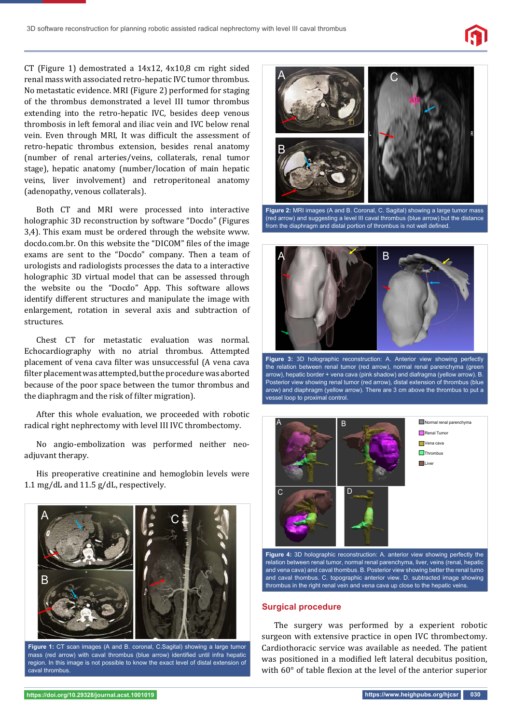

CT (Figure 1) demostrated a 14x12, 4x10,8 cm right sided renal mass with associated retro-hepatic IVC tumor thrombus. No metastatic evidence. MRI (Figure 2) performed for staging of the thrombus demonstrated a level III tumor thrombus extending into the retro-hepatic IVC, besides deep venous thrombosis in left femoral and iliac vein and IVC below renal vein. Even through MRI, It was difficult the assessment of retro-hepatic thrombus extension, besides renal anatomy (number of renal arteries/veins, collaterals, renal tumor stage), hepatic anatomy (number/location of main hepatic veins, liver involvement) and retroperitoneal anatomy (adenopathy, venous collaterals).

Both CT and MRI were processed into interactive holographic 3D reconstruction by software "Docdo" (Figures 3,4). This exam must be ordered through the website www. docdo.com.br. On this website the "DICOM" files of the image exams are sent to the "Docdo" company. Then a team of urologists and radiologists processes the data to a interactive holographic 3D virtual model that can be assessed through the website ou the "Docdo" App. This software allows identify different structures and manipulate the image with enlargement, rotation in several axis and subtraction of structures.

Chest CT for metastatic evaluation was normal. Echocardiography with no atrial thrombus. Attempted placement of vena cava filter was unsuccessful (A vena cava filter placement was attempted, but the procedure was aborted because of the poor space between the tumor thrombus and the diaphragm and the risk of filter migration).

After this whole evaluation, we proceeded with robotic radical right nephrectomy with level III IVC thrombectomy.

No angio-embolization was performed neither neoadjuvant therapy.

His preoperative creatinine and hemoglobin levels were 1.1 mg/dL and 11.5 g/dL, respectively.



**Figure 1:** CT scan images (A and B. coronal, C.Sagital) showing a large tumor mass (red arrow) with caval thrombus (blue arrow) identified until infra hepatic region. In this image is not possible to know the exact level of distal extension of caval thrombus.



**Figure 2:** MRI images (A and B. Coronal, C. Sagital) showing a large tumor mass (red arrow) and suggesting a level III caval thrombus (blue arrow) but the distance from the diaphragm and distal portion of thrombus is not well defined



**Figure 3:** 3D holographic reconstruction: A. Anterior view showing perfectly the relation between renal tumor (red arrow), normal renal parenchyma (green arrow), hepatic border + vena cava (pink shadow) and diafragma (yellow arrow). B. Posterior view showing renal tumor (red arrow), distal extension of thrombus (blue arow) and diaphragm (yellow arrow). There are 3 cm above the thrombus to put a vessel loop to proximal control.



**Figure 4:** 3D holographic reconstruction: A. anterior view showing perfectly the relation between renal tumor, normal renal parenchyma, liver, veins (renal, hepatic and vena cava) and caval thombus. B. Posterior view showing better the renal tumo and caval thombus. C. topographic anterior view. D. subtracted image showing thrombus in the right renal vein and vena cava up close to the hepatic veins.

#### **Surgical procedure**

The surgery was performed by a experient robotic surgeon with extensive practice in open IVC thrombectomy. Cardiothoracic service was available as needed. The patient was positioned in a modified left lateral decubitus position, with 60° of table flexion at the level of the anterior superior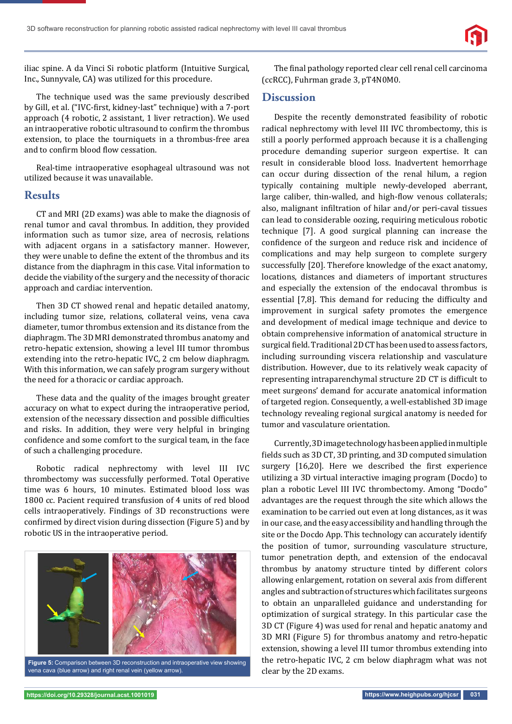

iliac spine. A da Vinci Si robotic platform (Intuitive Surgical, Inc., Sunnyvale, CA) was utilized for this procedure.

The technique used was the same previously described by Gill, et al. ("IVC-first, kidney-last" technique) with a 7-port approach (4 robotic, 2 assistant, 1 liver retraction). We used an intraoperative robotic ultrasound to confirm the thrombus extension, to place the tourniquets in a thrombus-free area and to confirm blood flow cessation.

Real-time intraoperative esophageal ultrasound was not utilized because it was unavailable.

## **Results**

CT and MRI (2D exams) was able to make the diagnosis of renal tumor and caval thrombus. In addition, they provided information such as tumor size, area of necrosis, relations with adjacent organs in a satisfactory manner. However, they were unable to define the extent of the thrombus and its distance from the diaphragm in this case. Vital information to decide the viability of the surgery and the necessity of thoracic approach and cardiac intervention.

Then 3D CT showed renal and hepatic detailed anatomy, including tumor size, relations, collateral veins, vena cava diameter, tumor thrombus extension and its distance from the diaphragm. The 3D MRI demonstrated thrombus anatomy and retro-hepatic extension, showing a level III tumor thrombus extending into the retro-hepatic IVC, 2 cm below diaphragm. With this information, we can safely program surgery without the need for a thoracic or cardiac approach.

These data and the quality of the images brought greater accuracy on what to expect during the intraoperative period, extension of the necessary dissection and possible difficulties and risks. In addition, they were very helpful in bringing confidence and some comfort to the surgical team, in the face of such a challenging procedure.

Robotic radical nephrectomy with level III IVC thrombectomy was successfully performed. Total Operative time was 6 hours, 10 minutes. Estimated blood loss was 1800 cc. Pacient required transfusion of 4 units of red blood cells intraoperatively. Findings of 3D reconstructions were confirmed by direct vision during dissection (Figure 5) and by robotic US in the intraoperative period.



**Figure 5:** Comparison between 3D reconstruction and intraoperative view showing vena cava (blue arrow) and right renal vein (yellow arrow).

The final pathology reported clear cell renal cell carcinoma (ccRCC), Fuhrman grade 3, pT4N0M0.

### **Discussion**

Despite the recently demonstrated feasibility of robotic radical nephrectomy with level III IVC thrombectomy, this is still a poorly performed approach because it is a challenging procedure demanding superior surgeon expertise. It can result in considerable blood loss. Inadvertent hemorrhage can occur during dissection of the renal hilum, a region typically containing multiple newly-developed aberrant, large caliber, thin-walled, and high-flow venous collaterals; also, malignant infiltration of hilar and/or peri-caval tissues can lead to considerable oozing, requiring meticulous robotic technique [7]. A good surgical planning can increase the confidence of the surgeon and reduce risk and incidence of complications and may help surgeon to complete surgery successfully [20]. Therefore knowledge of the exact anatomy, locations, distances and diameters of important structures and especially the extension of the endocaval thrombus is essential [7,8]. This demand for reducing the difficulty and improvement in surgical safety promotes the emergence and development of medical image technique and device to obtain comprehensive information of anatomical structure in surgical field. Traditional 2D CT has been used to assess factors, including surrounding viscera relationship and vasculature distribution. However, due to its relatively weak capacity of representing intraparenchymal structure 2D CT is difficult to meet surgeons' demand for accurate anatomical information of targeted region. Consequently, a well-established 3D image technology revealing regional surgical anatomy is needed for tumor and vasculature orientation.

Currently, 3D image technology has been applied in multiple fields such as 3D CT, 3D printing, and 3D computed simulation surgery [16,20]. Here we described the first experience utilizing a 3D virtual interactive imaging program (Docdo) to plan a robotic Level III IVC thrombectomy. Among "Docdo" advantages are the request through the site which allows the examination to be carried out even at long distances, as it was in our case, and the easy accessibility and handling through the site or the Docdo App. This technology can accurately identify the position of tumor, surrounding vasculature structure, tumor penetration depth, and extension of the endocaval thrombus by anatomy structure tinted by different colors allowing enlargement, rotation on several axis from different angles and subtraction of structures which facilitates surgeons to obtain an unparalleled guidance and understanding for optimization of surgical strategy. In this particular case the 3D CT (Figure 4) was used for renal and hepatic anatomy and 3D MRI (Figure 5) for thrombus anatomy and retro-hepatic extension, showing a level III tumor thrombus extending into the retro-hepatic IVC, 2 cm below diaphragm what was not clear by the 2D exams.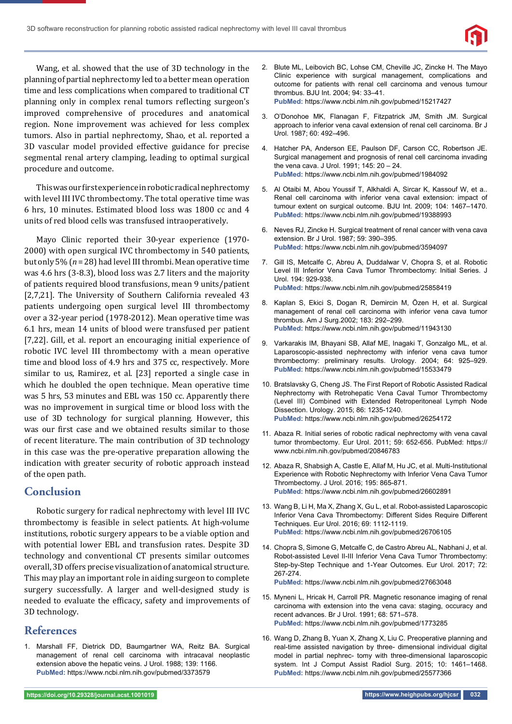

Wang, et al. showed that the use of 3D technology in the planning of partial nephrectomy led to a better mean operation time and less complications when compared to traditional CT planning only in complex renal tumors reflecting surgeon's improved comprehensive of procedures and anatomical region. None improvement was achieved for less complex tumors. Also in partial nephrectomy, Shao, et al. reported a 3D vascular model provided effective guidance for precise segmental renal artery clamping, leading to optimal surgical procedure and outcome.

This was our first experience in robotic radical nephrectomy with level III IVC thrombectomy. The total operative time was 6 hrs, 10 minutes. Estimated blood loss was 1800 cc and 4 units of red blood cells was transfused intraoperatively.

Mayo Clinic reported their 30-year experience (1970- 2000) with open surgical IVC thrombectomy in 540 patients, but only 5% (*n* = 28) had level III thrombi. Mean operative time was 4.6 hrs (3-8.3), blood loss was 2.7 liters and the majority of patients required blood transfusions, mean 9 units/patient [2,7,21]. The University of Southern California revealed 43 patients undergoing open surgical level III thrombectomy over a 32-year period (1978-2012). Mean operative time was 6.1 hrs, mean 14 units of blood were transfused per patient [7,22]. Gill, et al. report an encouraging initial experience of robotic IVC level III thrombectomy with a mean operative time and blood loss of 4.9 hrs and 375 cc, respectively. More similar to us, Ramirez, et al. [23] reported a single case in which he doubled the open technique. Mean operative time was 5 hrs, 53 minutes and EBL was 150 cc. Apparently there was no improvement in surgical time or blood loss with the use of 3D technology for surgical planning. However, this was our first case and we obtained results similar to those of recent literature. The main contribution of 3D technology in this case was the pre-operative preparation allowing the indication with greater security of robotic approach instead of the open path.

# **Conclusion**

Robotic surgery for radical nephrectomy with level III IVC thrombectomy is feasible in select patients. At high-volume institutions, robotic surgery appears to be a viable option and with potential lower EBL and transfusion rates. Despite 3D technology and conventional CT presents similar outcomes overall, 3D offers precise visualization of anatomical structure. This may play an important role in aiding surgeon to complete surgery successfully. A larger and well-designed study is needed to evaluate the efficacy, safety and improvements of 3D technology.

# **References**

1. Marshall FF, Dietrick DD, Baumgartner WA, Reitz BA. Surgical management of renal cell carcinoma with intracaval neoplastic extension above the hepatic veins. J Urol. 1988; 139: 1166. **PubMed:** https://www.ncbi.nlm.nih.gov/pubmed/3373579

- 2. Blute ML, Leibovich BC, Lohse CM, Cheville JC, Zincke H. The Mayo Clinic experience with surgical management, complications and outcome for patients with renal cell carcinoma and venous tumour thrombus. BJU Int. 2004; 94: 33–41. **PubMed:** https://www.ncbi.nlm.nih.gov/pubmed/15217427
- 3. O'Donohoe MK, Flanagan F, Fitzpatrick JM, Smith JM. Surgical approach to inferior vena caval extension of renal cell carcinoma. Br J Urol. 1987; 60: 492–496.
- 4. Hatcher PA, Anderson EE, Paulson DF, Carson CC, Robertson JE. Surgical management and prognosis of renal cell carcinoma invading the vena cava. J Urol. 1991; 145: 20 – 24. **PubMed:** https://www.ncbi.nlm.nih.gov/pubmed/1984092
- 5. Al Otaibi M, Abou Youssif T, Alkhaldi A, Sircar K, Kassouf W, et a.. Renal cell carcinoma with inferior vena caval extension: impact of tumour extent on surgical outcome. BJU Int. 2009; 104: 1467–1470. **PubMed:** https://www.ncbi.nlm.nih.gov/pubmed/19388993
- 6. Neves RJ, Zincke H. Surgical treatment of renal cancer with vena cava extension. Br J Urol. 1987; 59: 390–395. **PubMed:** https://www.ncbi.nlm.nih.gov/pubmed/3594097
- 7. Gill IS, Metcalfe C, Abreu A, Duddalwar V, Chopra S, et al. Robotic Level III Inferior Vena Cava Tumor Thrombectomy: Initial Series. J Urol. 194: 929-938. **PubMed:** https://www.ncbi.nlm.nih.gov/pubmed/25858419
- 8. Kaplan S, Ekici S, Dogan R, Demircin M, Özen H, et al. Surgical management of renal cell carcinoma with inferior vena cava tumor thrombus. Am J Surg.2002; 183: 292–299. **PubMed:** https://www.ncbi.nlm.nih.gov/pubmed/11943130
- 9. Varkarakis IM, Bhayani SB, Allaf ME, Inagaki T, Gonzalgo ML, et al. Laparoscopic-assisted nephrectomy with inferior vena cava tumor thrombectomy: preliminary results. Urology. 2004; 64: 925–929. **PubMed:** https://www.ncbi.nlm.nih.gov/pubmed/15533479
- 10. Bratslavsky G, Cheng JS. The First Report of Robotic Assisted Radical Nephrectomy with Retrohepatic Vena Caval Tumor Thrombectomy (Level III) Combined with Extended Retroperitoneal Lymph Node Dissection. Urology. 2015; 86: 1235-1240. **PubMed:** https://www.ncbi.nlm.nih.gov/pubmed/26254172
- 11. Abaza R. Initial series of robotic radical nephrectomy with vena caval tumor thrombectomy. Eur Urol. 2011; 59: 652-656. PubMed: https:// www.ncbi.nlm.nih.gov/pubmed/20846783
- 12. Abaza R, Shabsigh A, Castle E, Allaf M, Hu JC, et al. Multi-Institutional Experience with Robotic Nephrectomy with Inferior Vena Cava Tumor Thrombectomy. J Urol. 2016; 195: 865-871. **PubMed:** https://www.ncbi.nlm.nih.gov/pubmed/26602891
- 13. Wang B, Li H, Ma X, Zhang X, Gu L, et al. Robot-assisted Laparoscopic Inferior Vena Cava Thrombectomy: Different Sides Require Different Techniques. Eur Urol. 2016; 69: 1112-1119. **PubMed:** https://www.ncbi.nlm.nih.gov/pubmed/26706105
- 14. Chopra S, Simone G, Metcalfe C, de Castro Abreu AL, Nabhani J, et al. Robot-assisted Level II-III Inferior Vena Cava Tumor Thrombectomy: Step-by-Step Technique and 1-Year Outcomes. Eur Urol. 2017; 72: 267-274.
	- **PubMed:** https://www.ncbi.nlm.nih.gov/pubmed/27663048
- 15. Myneni L, Hricak H, Carroll PR. Magnetic resonance imaging of renal carcinoma with extension into the vena cava: staging, occuracy and recent advances. Br J Urol. 1991; 68: 571–578. **PubMed:** https://www.ncbi.nlm.nih.gov/pubmed/1773285
- 16. Wang D, Zhang B, Yuan X, Zhang X, Liu C. Preoperative planning and real-time assisted navigation by three- dimensional individual digital model in partial nephrec- tomy with three-dimensional laparoscopic system. Int J Comput Assist Radiol Surg. 2015; 10: 1461–1468. **PubMed:** https://www.ncbi.nlm.nih.gov/pubmed/25577366